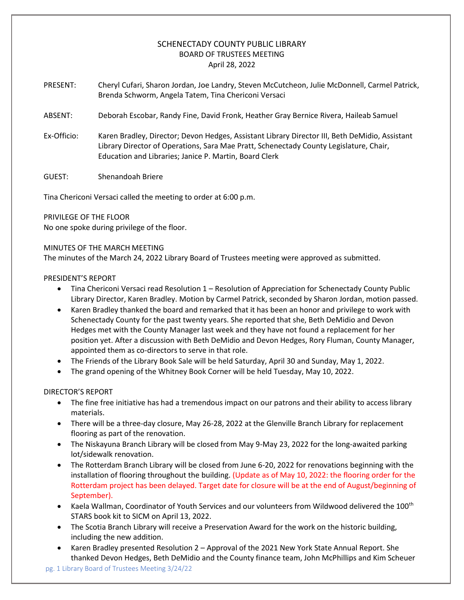# SCHENECTADY COUNTY PUBLIC LIBRARY BOARD OF TRUSTEES MEETING April 28, 2022

- PRESENT: Cheryl Cufari, Sharon Jordan, Joe Landry, Steven McCutcheon, Julie McDonnell, Carmel Patrick, Brenda Schworm, Angela Tatem, Tina Chericoni Versaci
- ABSENT: Deborah Escobar, Randy Fine, David Fronk, Heather Gray Bernice Rivera, Haileab Samuel
- Ex-Officio: Karen Bradley, Director; Devon Hedges, Assistant Library Director III, Beth DeMidio, Assistant Library Director of Operations, Sara Mae Pratt, Schenectady County Legislature, Chair, Education and Libraries; Janice P. Martin, Board Clerk
- GUEST: Shenandoah Briere

Tina Chericoni Versaci called the meeting to order at 6:00 p.m.

PRIVILEGE OF THE FLOOR

No one spoke during privilege of the floor.

### MINUTES OF THE MARCH MEETING

The minutes of the March 24, 2022 Library Board of Trustees meeting were approved as submitted.

### PRESIDENT'S REPORT

- Tina Chericoni Versaci read Resolution 1 Resolution of Appreciation for Schenectady County Public Library Director, Karen Bradley. Motion by Carmel Patrick, seconded by Sharon Jordan, motion passed.
- Karen Bradley thanked the board and remarked that it has been an honor and privilege to work with Schenectady County for the past twenty years. She reported that she, Beth DeMidio and Devon Hedges met with the County Manager last week and they have not found a replacement for her position yet. After a discussion with Beth DeMidio and Devon Hedges, Rory Fluman, County Manager, appointed them as co-directors to serve in that role.
- The Friends of the Library Book Sale will be held Saturday, April 30 and Sunday, May 1, 2022.
- The grand opening of the Whitney Book Corner will be held Tuesday, May 10, 2022.

## DIRECTOR'S REPORT

- The fine free initiative has had a tremendous impact on our patrons and their ability to access library materials.
- There will be a three-day closure, May 26-28, 2022 at the Glenville Branch Library for replacement flooring as part of the renovation.
- The Niskayuna Branch Library will be closed from May 9-May 23, 2022 for the long-awaited parking lot/sidewalk renovation.
- The Rotterdam Branch Library will be closed from June 6-20, 2022 for renovations beginning with the installation of flooring throughout the building. (Update as of May 10, 2022: the flooring order for the Rotterdam project has been delayed. Target date for closure will be at the end of August/beginning of September).
- Kaela Wallman, Coordinator of Youth Services and our volunteers from Wildwood delivered the 100th STARS book kit to SICM on April 13, 2022.
- The Scotia Branch Library will receive a Preservation Award for the work on the historic building, including the new addition.
- Karen Bradley presented Resolution 2 Approval of the 2021 New York State Annual Report. She thanked Devon Hedges, Beth DeMidio and the County finance team, John McPhillips and Kim Scheuer